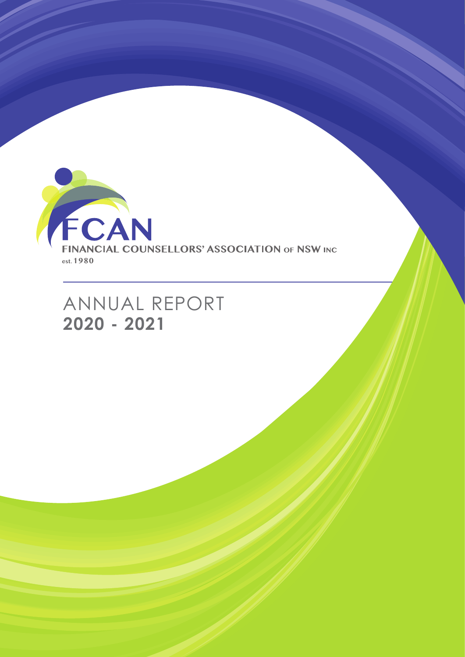

ANNUAL REPORT **2020 - 2021**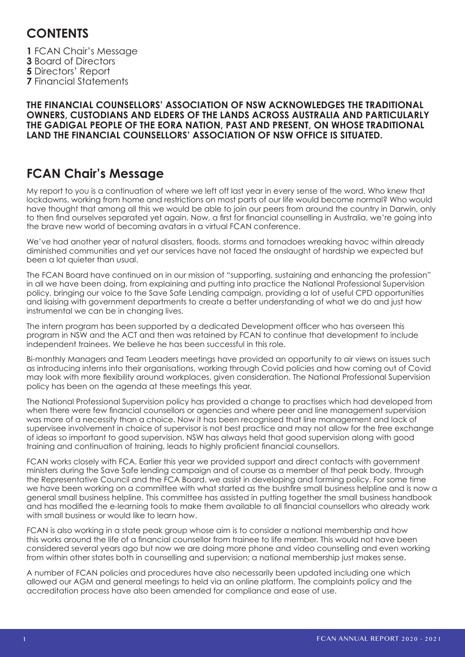# **CONTENTS**

FCAN Chair's Message Board of Directors Directors' Report Financial Statements

#### **THE FINANCIAL COUNSELLORS' ASSOCIATION OF NSW ACKNOWLEDGES THE TRADITIONAL OWNERS, CUSTODIANS AND ELDERS OF THE LANDS ACROSS AUSTRALIA AND PARTICULARLY THE GADIGAL PEOPLE OF THE EORA NATION, PAST AND PRESENT, ON WHOSE TRADITIONAL LAND THE FINANCIAL COUNSELLORS' ASSOCIATION OF NSW OFFICE IS SITUATED.**

# **FCAN Chair's Message**

My report to you is a continuation of where we left off last year in every sense of the word. Who knew that lockdowns, working from home and restrictions on most parts of our life would become normal? Who would have thought that among all this we would be able to join our peers from around the country in Darwin, only to then find ourselves separated yet again. Now, a first for financial counselling in Australia, we're going into the brave new world of becoming avatars in a virtual FCAN conference.

We've had another year of natural disasters, floods, storms and tornadoes wreaking havoc within already diminished communities and yet our services have not faced the onslaught of hardship we expected but been a lot quieter than usual.

The FCAN Board have continued on in our mission of "supporting, sustaining and enhancing the profession" in all we have been doing, from explaining and putting into practice the National Professional Supervision policy, bringing our voice to the Save Safe Lending campaign, providing a lot of useful CPD opportunities and liaising with government departments to create a better understanding of what we do and just how instrumental we can be in changing lives.

The intern program has been supported by a dedicated Development officer who has overseen this program in NSW and the ACT and then was retained by FCAN to continue that development to include independent trainees. We believe he has been successful in this role.

Bi-monthly Managers and Team Leaders meetings have provided an opportunity to air views on issues such as introducing interns into their organisations, working through Covid policies and how coming out of Covid may look with more flexibility around workplaces, given consideration. The National Professional Supervision policy has been on the agenda at these meetings this year.

The National Professional Supervision policy has provided a change to practises which had developed from when there were few financial counsellors or agencies and where peer and line management supervision was more of a necessity than a choice. Now it has been recognised that line management and lack of supervisee involvement in choice of supervisor is not best practice and may not allow for the free exchange of ideas so important to good supervision. NSW has always held that good supervision along with good training and continuation of training, leads to highly proficient financial counsellors.

FCAN works closely with FCA. Earlier this year we provided support and direct contacts with government ministers during the Save Safe lending campaign and of course as a member of that peak body, through the Representative Council and the FCA Board, we assist in developing and forming policy. For some time we have been working on a committee with what started as the bushfire small business helpline and is now a general small business helpline. This committee has assisted in putting together the small business handbook and has modified the e-learning tools to make them available to all financial counsellors who already work with small business or would like to learn how.

FCAN is also working in a state peak group whose aim is to consider a national membership and how this works around the life of a financial counsellor from trainee to life member. This would not have been considered several years ago but now we are doing more phone and video counselling and even working from within other states both in counselling and supervision; a national membership just makes sense.

A number of FCAN policies and procedures have also necessarily been updated including one which allowed our AGM and general meetings to held via an online platform. The complaints policy and the accreditation process have also been amended for compliance and ease of use.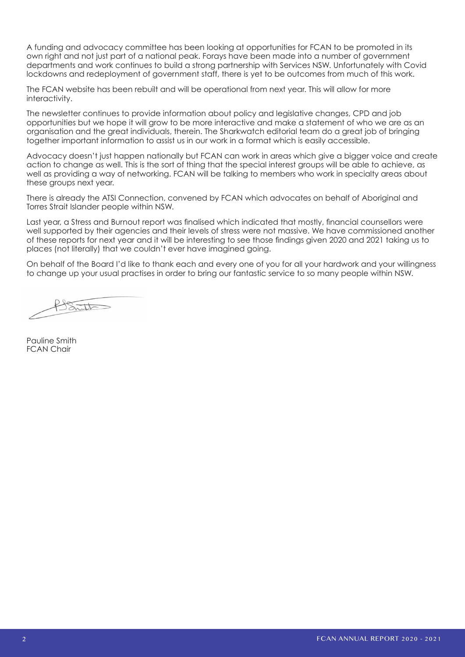A funding and advocacy committee has been looking at opportunities for FCAN to be promoted in its own right and not just part of a national peak. Forays have been made into a number of government departments and work continues to build a strong partnership with Services NSW. Unfortunately with Covid lockdowns and redeployment of government staff, there is yet to be outcomes from much of this work.

The FCAN website has been rebuilt and will be operational from next year. This will allow for more interactivity.

The newsletter continues to provide information about policy and legislative changes, CPD and job opportunities but we hope it will grow to be more interactive and make a statement of who we are as an organisation and the great individuals, therein. The Sharkwatch editorial team do a great job of bringing together important information to assist us in our work in a format which is easily accessible.

Advocacy doesn't just happen nationally but FCAN can work in areas which give a bigger voice and create action to change as well. This is the sort of thing that the special interest groups will be able to achieve, as well as providing a way of networking. FCAN will be talking to members who work in specialty areas about these groups next year.

There is already the ATSI Connection, convened by FCAN which advocates on behalf of Aboriginal and Torres Strait Islander people within NSW.

Last year, a Stress and Burnout report was finalised which indicated that mostly, financial counsellors were well supported by their agencies and their levels of stress were not massive. We have commissioned another of these reports for next year and it will be interesting to see those findings given 2020 and 2021 taking us to places (not literally) that we couldn't ever have imagined going.

On behalf of the Board I'd like to thank each and every one of you for all your hardwork and your willingness to change up your usual practises in order to bring our fantastic service to so many people within NSW.

 $\sum_{n=1}^{\infty}$ 

Pauline Smith FCAN Chair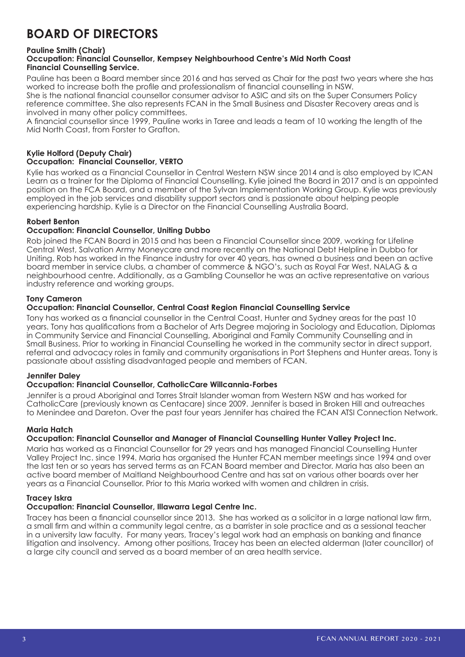# **BOARD OF DIRECTORS**

#### **Pauline Smith (Chair)**

#### **Occupation: Financial Counsellor, Kempsey Neighbourhood Centre's Mid North Coast Financial Counselling Service.**

Pauline has been a Board member since 2016 and has served as Chair for the past two years where she has worked to increase both the profile and professionalism of financial counselling in NSW.

She is the national financial counsellor consumer advisor to ASIC and sits on the Super Consumers Policy reference committee. She also represents FCAN in the Small Business and Disaster Recovery areas and is involved in many other policy committees.

A financial counsellor since 1999, Pauline works in Taree and leads a team of 10 working the length of the Mid North Coast, from Forster to Grafton.

#### **Kylie Holford (Deputy Chair) Occupation: Financial Counsellor, VERTO**

Kylie has worked as a Financial Counsellor in Central Western NSW since 2014 and is also employed by ICAN Learn as a trainer for the Diploma of Financial Counselling. Kylie joined the Board in 2017 and is an appointed position on the FCA Board, and a member of the Sylvan Implementation Working Group. Kylie was previously employed in the job services and disability support sectors and is passionate about helping people experiencing hardship. Kylie is a Director on the Financial Counselling Australia Board.

# **Robert Benton**

#### **Occupation: Financial Counsellor, Uniting Dubbo**

Rob joined the FCAN Board in 2015 and has been a Financial Counsellor since 2009, working for Lifeline Central West, Salvation Army Moneycare and more recently on the National Debt Helpline in Dubbo for Uniting. Rob has worked in the Finance industry for over 40 years, has owned a business and been an active board member in service clubs, a chamber of commerce & NGO's, such as Royal Far West, NALAG & a neighbourhood centre. Additionally, as a Gambling Counsellor he was an active representative on various industry reference and working groups.

#### **Tony Cameron**

#### **Occupation: Financial Counsellor, Central Coast Region Financial Counselling Service**

Tony has worked as a financial counsellor in the Central Coast, Hunter and Sydney areas for the past 10 years. Tony has qualifications from a Bachelor of Arts Degree majoring in Sociology and Education, Diplomas in Community Service and Financial Counselling, Aboriginal and Family Community Counselling and in Small Business. Prior to working in Financial Counselling he worked in the community sector in direct support, referral and advocacy roles in family and community organisations in Port Stephens and Hunter areas. Tony is passionate about assisting disadvantaged people and members of FCAN.

#### **Jennifer Daley**

#### **Occupation: Financial Counsellor, CatholicCare Willcannia-Forbes**

Jennifer is a proud Aboriginal and Torres Strait Islander woman from Western NSW and has worked for CatholicCare (previously known as Centacare) since 2009. Jennifer is based in Broken Hill and outreaches to Menindee and Dareton. Over the past four years Jennifer has chaired the FCAN ATSI Connection Network.

#### **Maria Hatch**

#### **Occupation: Financial Counsellor and Manager of Financial Counselling Hunter Valley Project Inc.**

Maria has worked as a Financial Counsellor for 29 years and has managed Financial Counselling Hunter Valley Project Inc. since 1994. Maria has organised the Hunter FCAN member meetings since 1994 and over the last ten or so years has served terms as an FCAN Board member and Director. Maria has also been an active board member of Maitland Neighbourhood Centre and has sat on various other boards over her years as a Financial Counsellor. Prior to this Maria worked with women and children in crisis.

#### **Tracey Iskra**

#### **Occupation: Financial Counsellor, Illawarra Legal Centre Inc.**

Tracey has been a financial counsellor since 2013. She has worked as a solicitor in a large national law firm, a small firm and within a community legal centre, as a barrister in sole practice and as a sessional teacher in a university law faculty. For many years, Tracey's legal work had an emphasis on banking and finance litigation and insolvency. Among other positions, Tracey has been an elected alderman (later councillor) of a large city council and served as a board member of an area health service.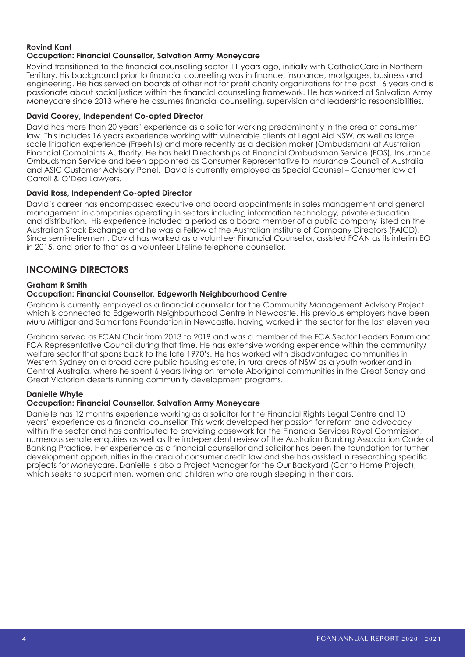#### **Rovind Kant Occupation: Financial Counsellor, Salvation Army Moneycare**

Rovind transitioned to the financial counselling sector 11 years ago, initially with CatholicCare in Northern Territory. His background prior to financial counselling was in finance, insurance, mortgages, business and engineering. He has served on boards of other not for profit charity organizations for the past 16 years and is passionate about social justice within the financial counselling framework. He has worked at Salvation Army Moneycare since 2013 where he assumes financial counselling, supervision and leadership responsibilities.

#### **David Coorey, Independent Co-opted Director**

David has more than 20 years' experience as a solicitor working predominantly in the area of consumer law. This includes 16 years experience working with vulnerable clients at Legal Aid NSW, as well as large scale litigation experience (Freehills) and more recently as a decision maker (Ombudsman) at Australian Financial Complaints Authority. He has held Directorships at Financial Ombudsman Service (FOS), Insurance Ombudsman Service and been appointed as Consumer Representative to Insurance Council of Australia and ASIC Customer Advisory Panel. David is currently employed as Special Counsel – Consumer law at Carroll & O'Dea Lawyers.

#### **David Ross, Independent Co-opted Director**

David's career has encompassed executive and board appointments in sales management and general management in companies operating in sectors including information technology, private education and distribution. His experience included a period as a board member of a public company listed on the Australian Stock Exchange and he was a Fellow of the Australian Institute of Company Directors (FAICD). Since semi-retirement, David has worked as a volunteer Financial Counsellor, assisted FCAN as its interim EO in 2015, and prior to that as a volunteer Lifeline telephone counsellor.

# **INCOMING DIRECTORS**

#### **Graham R Smith**

#### **Occupation: Financial Counsellor, Edgeworth Neighbourhood Centre**

Graham is currently employed as a financial counsellor for the Community Management Advisory Project which is connected to Edgeworth Neighbourhood Centre in Newcastle. His previous employers have been Muru Mittigar and Samaritans Foundation in Newcastle, having worked in the sector for the last eleven year

Graham served as FCAN Chair from 2013 to 2019 and was a member of the FCA Sector Leaders Forum and FCA Representative Council during that time. He has extensive working experience within the community/ welfare sector that spans back to the late 1970's. He has worked with disadvantaged communities in Western Sydney on a broad acre public housing estate, in rural areas of NSW as a youth worker and in Central Australia, where he spent 6 years living on remote Aboriginal communities in the Great Sandy and Great Victorian deserts running community development programs.

#### **Danielle Whyte**

#### **Occupation: Financial Counsellor, Salvation Army Moneycare**

Danielle has 12 months experience working as a solicitor for the Financial Rights Legal Centre and 10 years' experience as a financial counsellor. This work developed her passion for reform and advocacy within the sector and has contributed to providing casework for the Financial Services Royal Commission, numerous senate enquiries as well as the independent review of the Australian Banking Association Code of Banking Practice. Her experience as a financial counsellor and solicitor has been the foundation for further development opportunities in the area of consumer credit law and she has assisted in researching specific projects for Moneycare. Danielle is also a Project Manager for the Our Backyard (Car to Home Project), which seeks to support men, women and children who are rough sleeping in their cars.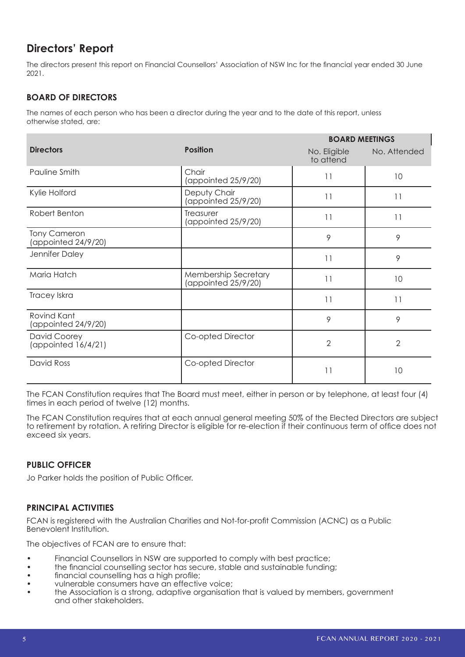# **Directors' Report**

The directors present this report on Financial Counsellors' Association of NSW Inc for the financial year ended 30 June 2021.

# **BOARD OF DIRECTORS**

The names of each person who has been a director during the year and to the date of this report, unless otherwise stated, are:

|                                            |                                             | <b>BOARD MEETINGS</b>     |                |
|--------------------------------------------|---------------------------------------------|---------------------------|----------------|
| <b>Directors</b>                           | <b>Position</b>                             | No. Eligible<br>to attend | No. Attended   |
| Pauline Smith                              | Chair<br>(appointed 25/9/20)                | 11                        | 10             |
| Kylie Holford                              | Deputy Chair<br>(appointed 25/9/20)         | 11                        | 11             |
| Robert Benton                              | Treasurer<br>(appointed 25/9/20)            | 11                        | 11             |
| <b>Tony Cameron</b><br>(appointed 24/9/20) |                                             | 9                         | 9              |
| Jennifer Daley                             |                                             | 11                        | 9              |
| Maria Hatch                                | Membership Secretary<br>(appointed 25/9/20) | 11                        | 10             |
| Tracey Iskra                               |                                             | 11                        | 11             |
| Rovind Kant<br>(appointed 24/9/20)         |                                             | 9                         | 9              |
| David Coorey<br>(appointed 16/4/21)        | Co-opted Director                           | $\overline{2}$            | $\overline{2}$ |
| David Ross                                 | Co-opted Director                           | 11                        | 10             |

The FCAN Constitution requires that The Board must meet, either in person or by telephone, at least four (4) times in each period of twelve (12) months.

The FCAN Constitution requires that at each annual general meeting 50% of the Elected Directors are subject to retirement by rotation. A retiring Director is eligible for re-election if their continuous term of office does not exceed six years.

# **PUBLIC OFFICER**

Jo Parker holds the position of Public Officer.

#### **PRINCIPAL ACTIVITIES**

FCAN is registered with the Australian Charities and Not-for-profit Commission (ACNC) as a Public Benevolent Institution.

The objectives of FCAN are to ensure that:

- Financial Counsellors in NSW are supported to comply with best practice;
- the financial counselling sector has secure, stable and sustainable funding;
- financial counselling has a high profile;
- vulnerable consumers have an effective voice;
- the Association is a strong, adaptive organisation that is valued by members, government and other stakeholders.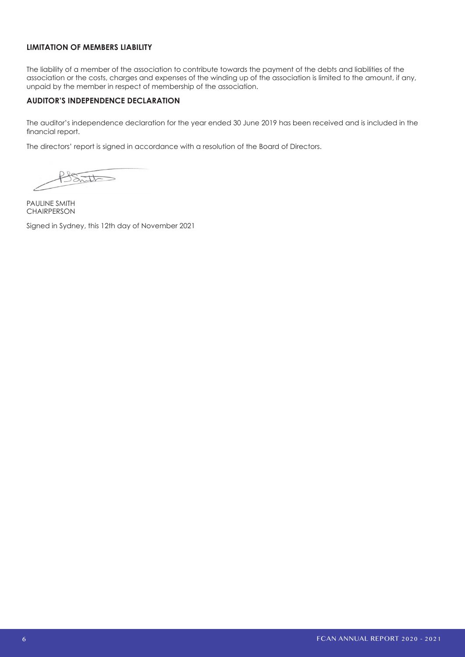#### **LIMITATION OF MEMBERS LIABILITY**

The liability of a member of the association to contribute towards the payment of the debts and liabilities of the association or the costs, charges and expenses of the winding up of the association is limited to the amount, if any, unpaid by the member in respect of membership of the association.

#### **AUDITOR'S INDEPENDENCE DECLARATION**

The auditor's independence declaration for the year ended 30 June 2019 has been received and is included in the financial report.

The directors' report is signed in accordance with a resolution of the Board of Directors.

It

PAULINE SMITH **CHAIRPERSON** 

Signed in Sydney, this 12th day of November 2021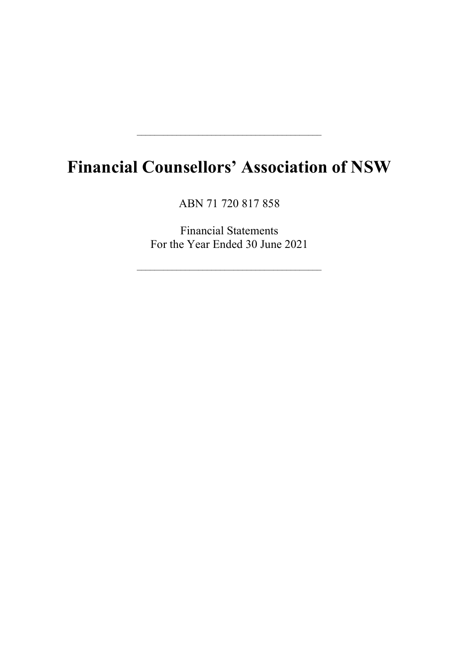# Financial Counsellors' Association of NSW

\_\_\_\_\_\_\_\_\_\_\_\_\_\_\_\_\_\_\_\_\_\_\_\_\_\_\_\_\_\_\_\_\_\_\_\_\_\_\_\_\_\_

ABN 71 720 817 858

Financial Statements For the Year Ended 30 June 2021

\_\_\_\_\_\_\_\_\_\_\_\_\_\_\_\_\_\_\_\_\_\_\_\_\_\_\_\_\_\_\_\_\_\_\_\_\_\_\_\_\_\_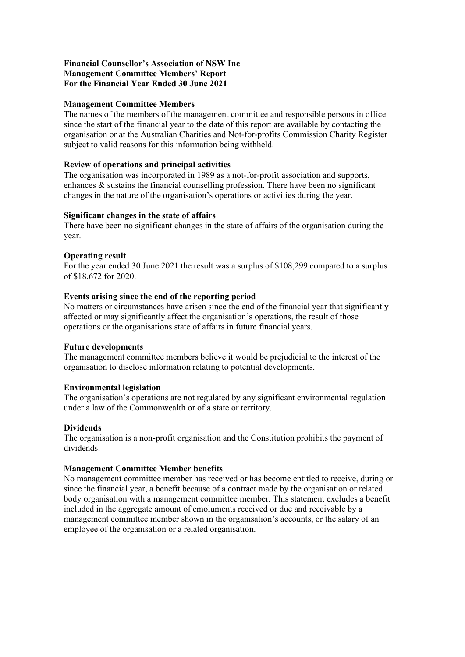#### Financial Counsellor's Association of NSW Inc Management Committee Members' Report For the Financial Year Ended 30 June 2021

#### Management Committee Members

The names of the members of the management committee and responsible persons in office since the start of the financial year to the date of this report are available by contacting the organisation or at the Australian Charities and Not-for-profits Commission Charity Register subject to valid reasons for this information being withheld.

#### Review of operations and principal activities

The organisation was incorporated in 1989 as a not-for-profit association and supports, enhances  $\&$  sustains the financial counselling profession. There have been no significant changes in the nature of the organisation's operations or activities during the year.

#### Significant changes in the state of affairs

There have been no significant changes in the state of affairs of the organisation during the year.

#### Operating result

For the year ended 30 June 2021 the result was a surplus of \$108,299 compared to a surplus of \$18,672 for 2020.

#### Events arising since the end of the reporting period

No matters or circumstances have arisen since the end of the financial year that significantly affected or may significantly affect the organisation's operations, the result of those operations or the organisations state of affairs in future financial years.

#### Future developments

The management committee members believe it would be prejudicial to the interest of the organisation to disclose information relating to potential developments.

#### Environmental legislation

The organisation's operations are not regulated by any significant environmental regulation under a law of the Commonwealth or of a state or territory.

#### **Dividends**

The organisation is a non-profit organisation and the Constitution prohibits the payment of dividends.

#### Management Committee Member benefits

No management committee member has received or has become entitled to receive, during or since the financial year, a benefit because of a contract made by the organisation or related body organisation with a management committee member. This statement excludes a benefit included in the aggregate amount of emoluments received or due and receivable by a management committee member shown in the organisation's accounts, or the salary of an employee of the organisation or a related organisation.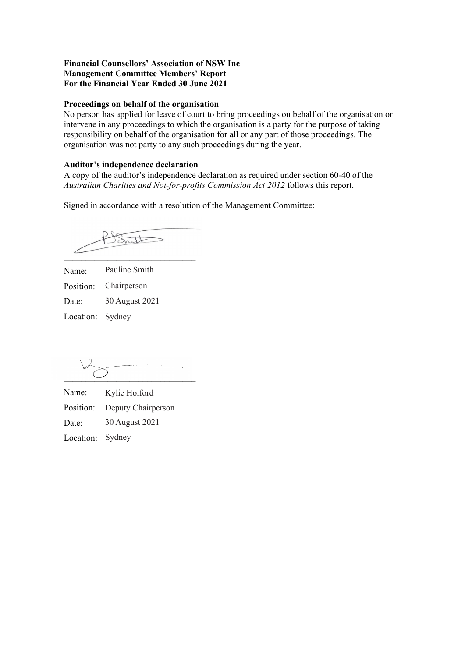#### Financial Counsellors' Association of NSW Inc Management Committee Members' Report For the Financial Year Ended 30 June 2021

#### Proceedings on behalf of the organisation

No person has applied for leave of court to bring proceedings on behalf of the organisation or intervene in any proceedings to which the organisation is a party for the purpose of taking responsibility on behalf of the organisation for all or any part of those proceedings. The organisation was not party to any such proceedings during the year.

#### Auditor's independence declaration

A copy of the auditor's independence declaration as required under section 60-40 of the Australian Charities and Not-for-profits Commission Act 2012 follows this report.

Signed in accordance with a resolution of the Management Committee:

 $32.11$  $\overline{\phantom{a}}$ 

Name: Position: Date: Location: SydneyPauline Smith Chairperson 30 August 2021

 $\overline{\phantom{a}}$  , and the set of the set of the set of the set of the set of the set of the set of the set of the set of the set of the set of the set of the set of the set of the set of the set of the set of the set of the s

Name: Position: Deputy Chairperson Date: Location: Sydney Kylie Holford 30 August 2021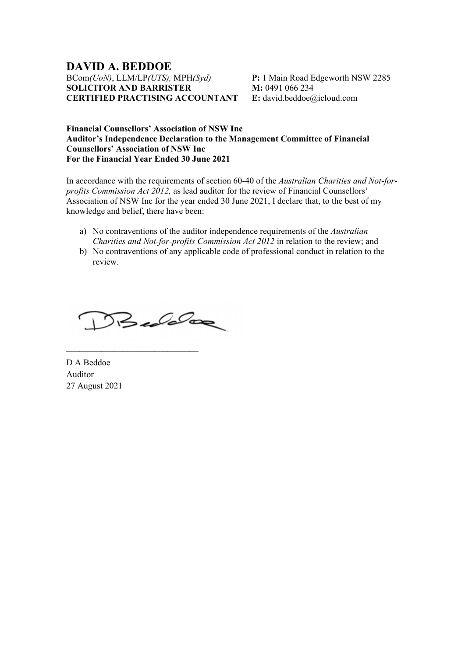# DAVID A. BEDDOE BCom(UoN), LLM/LP(UTS), MPH(Syd) SOLICITOR AND BARRISTER CERTIFIED PRACTISING ACCOUNTANT

P: 1 Main Road Edgeworth NSW 2285 M: 0491 066 234 E: david.beddoe@icloud.com

#### Financial Counsellors' Association of NSW Inc Auditor's Independence Declaration to the Management Committee of Financial Counsellors' Association of NSW Inc For the Financial Year Ended 30 June 2021

In accordance with the requirements of section 60-40 of the Australian Charities and Not-forprofits Commission Act 2012, as lead auditor for the review of Financial Counsellors' Association of NSW Inc for the year ended 30 June 2021, I declare that, to the best of my knowledge and belief, there have been:

- a) No contraventions of the auditor independence requirements of the Australian Charities and Not-for-profits Commission Act 2012 in relation to the review; and
- b) No contraventions of any applicable code of professional conduct in relation to the review.

Bedeloo

\_\_\_\_\_\_\_\_\_\_\_\_\_\_\_\_\_\_\_\_\_\_\_\_\_\_\_\_\_\_

D A Beddoe Auditor 27 August 2021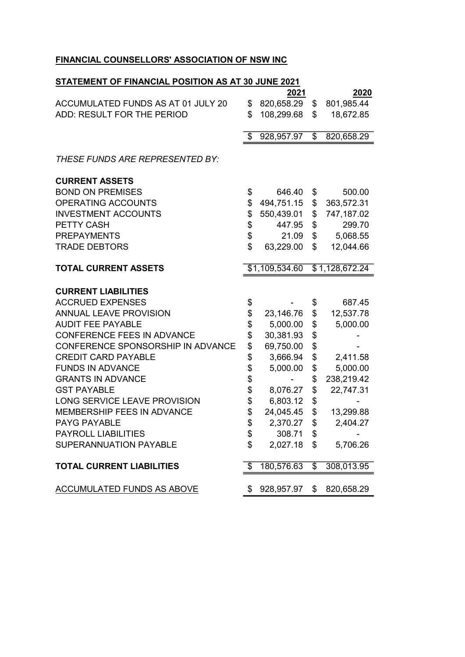# FINANCIAL COUNSELLORS' ASSOCIATION OF NSW INC

# STATEMENT OF FINANCIAL POSITION AS AT 30 JUNE 2021

|                                    |                 | 2021           |                          | 2020           |
|------------------------------------|-----------------|----------------|--------------------------|----------------|
| ACCUMULATED FUNDS AS AT 01 JULY 20 | \$              | 820,658.29     | \$                       | 801,985.44     |
| ADD: RESULT FOR THE PERIOD         | \$              | 108,299.68     | \$                       | 18,672.85      |
|                                    | $\overline{\$}$ | 928,957.97     | $\overline{\$}$          | 820,658.29     |
| THESE FUNDS ARE REPRESENTED BY:    |                 |                |                          |                |
| <b>CURRENT ASSETS</b>              |                 |                |                          |                |
| <b>BOND ON PREMISES</b>            | \$              | 646.40         | \$                       | 500.00         |
| OPERATING ACCOUNTS                 | \$              | 494,751.15     | \$                       | 363,572.31     |
| <b>INVESTMENT ACCOUNTS</b>         | \$              | 550,439.01     | \$                       | 747,187.02     |
| PETTY CASH                         | \$              | 447.95         | \$                       | 299.70         |
| <b>PREPAYMENTS</b>                 | \$              | 21.09          | \$                       | 5,068.55       |
| <b>TRADE DEBTORS</b>               | \$              | 63,229.00      | \$                       | 12,044.66      |
| <b>TOTAL CURRENT ASSETS</b>        |                 | \$1,109,534.60 |                          | \$1,128,672.24 |
| <b>CURRENT LIABILITIES</b>         |                 |                |                          |                |
| <b>ACCRUED EXPENSES</b>            | \$              |                | \$                       | 687.45         |
| <b>ANNUAL LEAVE PROVISION</b>      | \$              | 23,146.76      | \$                       | 12,537.78      |
| <b>AUDIT FEE PAYABLE</b>           | \$              | 5,000.00       | \$                       | 5,000.00       |
| <b>CONFERENCE FEES IN ADVANCE</b>  | \$              | 30,381.93      | \$                       |                |
| CONFERENCE SPONSORSHIP IN ADVANCE  | \$              | 69,750.00      | \$                       |                |
| <b>CREDIT CARD PAYABLE</b>         | \$              | 3,666.94       | \$                       | 2,411.58       |
| <b>FUNDS IN ADVANCE</b>            | \$              | 5,000.00       | \$                       | 5,000.00       |
| <b>GRANTS IN ADVANCE</b>           | \$              |                | \$                       | 238,219.42     |
| <b>GST PAYABLE</b>                 | \$              | 8,076.27       | \$                       | 22,747.31      |
| LONG SERVICE LEAVE PROVISION       | \$              | 6,803.12       | \$                       |                |
| MEMBERSHIP FEES IN ADVANCE         | \$              | 24,045.45      | \$                       | 13,299.88      |
| <b>PAYG PAYABLE</b>                | \$              | 2,370.27       | \$                       | 2,404.27       |
| <b>PAYROLL LIABILITIES</b>         | \$              | 308.71         | \$                       |                |
| SUPERANNUATION PAYABLE             | \$              | 2,027.18       | \$                       | 5,706.26       |
| <b>TOTAL CURRENT LIABILITIES</b>   | \$              | 180,576.63     | $\overline{\mathcal{S}}$ | 308,013.95     |
| <b>ACCUMULATED FUNDS AS ABOVE</b>  | S               | 928,957.97     | \$                       | 820,658.29     |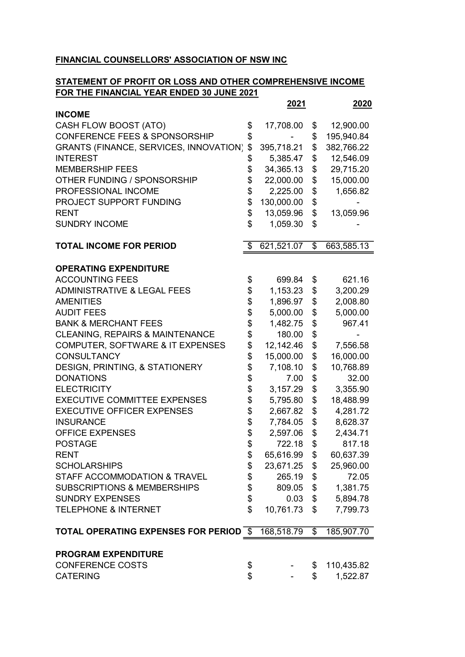#### FINANCIAL COUNSELLORS' ASSOCIATION OF NSW INC

# STATEMENT OF PROFIT OR LOSS AND OTHER COMPREHENSIVE INCOME FOR THE FINANCIAL YEAR ENDED 30 JUNE 2021

|                                               | 2021             |                 | 2020       |
|-----------------------------------------------|------------------|-----------------|------------|
| <b>INCOME</b>                                 |                  |                 |            |
| CASH FLOW BOOST (ATO)                         | \$<br>17,708.00  | \$              | 12,900.00  |
| <b>CONFERENCE FEES &amp; SPONSORSHIP</b>      | \$               | \$              | 195,940.84 |
| <b>GRANTS (FINANCE, SERVICES, INNOVATION)</b> | \$<br>395,718.21 | \$              | 382,766.22 |
| <b>INTEREST</b>                               | \$<br>5,385.47   | \$              | 12,546.09  |
| <b>MEMBERSHIP FEES</b>                        | \$<br>34,365.13  | \$              | 29,715.20  |
| OTHER FUNDING / SPONSORSHIP                   | \$<br>22,000.00  | \$              | 15,000.00  |
| PROFESSIONAL INCOME                           | \$<br>2,225.00   | \$              | 1,656.82   |
| PROJECT SUPPORT FUNDING                       | \$<br>130,000.00 | \$              |            |
| <b>RENT</b>                                   | \$<br>13,059.96  | \$              | 13,059.96  |
| <b>SUNDRY INCOME</b>                          | \$<br>1,059.30   | \$              |            |
| <b>TOTAL INCOME FOR PERIOD</b>                | \$<br>621,521.07 | $\overline{\$}$ | 663,585.13 |
| <b>OPERATING EXPENDITURE</b>                  |                  |                 |            |
| <b>ACCOUNTING FEES</b>                        | \$<br>699.84     | \$              | 621.16     |
| <b>ADMINISTRATIVE &amp; LEGAL FEES</b>        | \$<br>1,153.23   | \$              | 3,200.29   |
| <b>AMENITIES</b>                              | \$<br>1,896.97   | \$              | 2,008.80   |
| <b>AUDIT FEES</b>                             | \$<br>5,000.00   | \$              | 5,000.00   |
| <b>BANK &amp; MERCHANT FEES</b>               | \$<br>1,482.75   | \$              | 967.41     |
| <b>CLEANING, REPAIRS &amp; MAINTENANCE</b>    | \$<br>180.00     | \$              |            |
| <b>COMPUTER, SOFTWARE &amp; IT EXPENSES</b>   | \$<br>12,142.46  | \$              | 7,556.58   |
| <b>CONSULTANCY</b>                            | \$<br>15,000.00  | \$              | 16,000.00  |
| DESIGN, PRINTING, & STATIONERY                | \$<br>7,108.10   | \$              | 10,768.89  |
| <b>DONATIONS</b>                              | \$<br>7.00       | \$              | 32.00      |
| <b>ELECTRICITY</b>                            | \$<br>3,157.29   | \$              | 3,355.90   |
| <b>EXECUTIVE COMMITTEE EXPENSES</b>           | \$<br>5,795.80   | \$              | 18,488.99  |
| <b>EXECUTIVE OFFICER EXPENSES</b>             | \$<br>2,667.82   | \$              | 4,281.72   |
| <b>INSURANCE</b>                              | \$<br>7,784.05   | \$              | 8,628.37   |
| <b>OFFICE EXPENSES</b>                        | \$<br>2,597.06   | \$              | 2,434.71   |
| <b>POSTAGE</b>                                | \$<br>722.18     | \$              | 817.18     |
| <b>RENT</b>                                   | \$<br>65,616.99  | \$              | 60,637.39  |
| <b>SCHOLARSHIPS</b>                           | \$<br>23,671.25  | \$              | 25,960.00  |
| STAFF ACCOMMODATION & TRAVEL                  | \$<br>265.19     | \$              | 72.05      |
| <b>SUBSCRIPTIONS &amp; MEMBERSHIPS</b>        | \$<br>809.05     | \$              | 1,381.75   |
| <b>SUNDRY EXPENSES</b>                        | \$<br>0.03       | \$              | 5,894.78   |
| <b>TELEPHONE &amp; INTERNET</b>               | \$<br>10,761.73  | \$              | 7,799.73   |
| <b>TOTAL OPERATING EXPENSES FOR PERIOD \$</b> | 168,518.79       | $\overline{\$}$ | 185,907.70 |
| <b>PROGRAM EXPENDITURE</b>                    |                  |                 |            |
| <b>CONFERENCE COSTS</b>                       | \$               | \$              | 110,435.82 |
| <b>CATERING</b>                               | \$               | $\mathfrak{S}$  | 1,522.87   |
|                                               |                  |                 |            |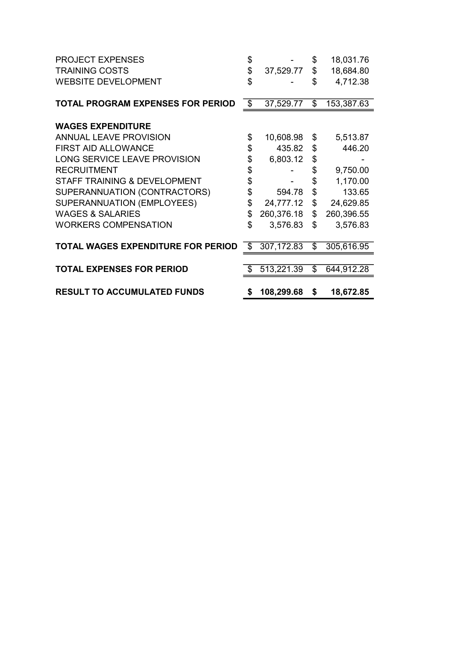| <b>PROJECT EXPENSES</b>                   | \$               | \$                       | 18,031.76  |
|-------------------------------------------|------------------|--------------------------|------------|
| <b>TRAINING COSTS</b>                     | \$<br>37,529.77  | \$                       | 18,684.80  |
| <b>WEBSITE DEVELOPMENT</b>                | \$               | \$                       | 4,712.38   |
|                                           |                  |                          |            |
| <b>TOTAL PROGRAM EXPENSES FOR PERIOD</b>  | \$<br>37,529.77  | $\mathfrak{L}$           | 153,387.63 |
| <b>WAGES EXPENDITURE</b>                  |                  |                          |            |
|                                           |                  |                          |            |
| <b>ANNUAL LEAVE PROVISION</b>             | \$<br>10,608.98  | \$                       | 5,513.87   |
| <b>FIRST AID ALLOWANCE</b>                | \$<br>435.82     | \$                       | 446.20     |
| LONG SERVICE LEAVE PROVISION              | \$<br>6,803.12   | \$                       |            |
| <b>RECRUITMENT</b>                        | \$               | \$                       | 9,750.00   |
| STAFF TRAINING & DEVELOPMENT              | \$               | \$                       | 1,170.00   |
| SUPERANNUATION (CONTRACTORS)              | \$<br>594.78     | \$                       | 133.65     |
| SUPERANNUATION (EMPLOYEES)                | \$<br>24,777.12  | \$                       | 24,629.85  |
| <b>WAGES &amp; SALARIES</b>               | \$<br>260,376.18 | \$                       | 260,396.55 |
| <b>WORKERS COMPENSATION</b>               | \$<br>3,576.83   | \$                       | 3,576.83   |
|                                           |                  |                          |            |
| <b>TOTAL WAGES EXPENDITURE FOR PERIOD</b> | \$<br>307,172.83 | $\overline{\mathcal{E}}$ | 305,616.95 |
|                                           |                  |                          |            |
| <b>TOTAL EXPENSES FOR PERIOD</b>          | \$<br>513,221.39 | \$                       | 644,912.28 |
|                                           |                  |                          |            |
| <b>RESULT TO ACCUMULATED FUNDS</b>        | \$<br>108,299.68 | \$                       | 18,672.85  |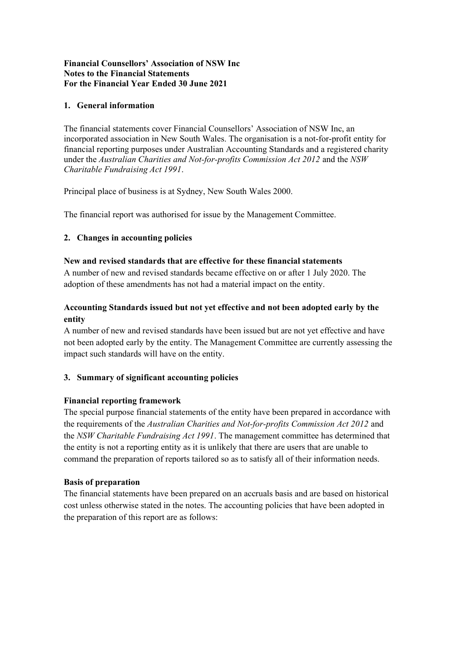### 1. General information

The financial statements cover Financial Counsellors' Association of NSW Inc, an incorporated association in New South Wales. The organisation is a not-for-profit entity for financial reporting purposes under Australian Accounting Standards and a registered charity under the Australian Charities and Not-for-profits Commission Act 2012 and the NSW Charitable Fundraising Act 1991.

Principal place of business is at Sydney, New South Wales 2000.

The financial report was authorised for issue by the Management Committee.

# 2. Changes in accounting policies

#### New and revised standards that are effective for these financial statements

A number of new and revised standards became effective on or after 1 July 2020. The adoption of these amendments has not had a material impact on the entity.

# Accounting Standards issued but not yet effective and not been adopted early by the entity

A number of new and revised standards have been issued but are not yet effective and have not been adopted early by the entity. The Management Committee are currently assessing the impact such standards will have on the entity.

# 3. Summary of significant accounting policies

#### Financial reporting framework

The special purpose financial statements of the entity have been prepared in accordance with the requirements of the Australian Charities and Not-for-profits Commission Act 2012 and the NSW Charitable Fundraising Act 1991. The management committee has determined that the entity is not a reporting entity as it is unlikely that there are users that are unable to command the preparation of reports tailored so as to satisfy all of their information needs.

#### Basis of preparation

The financial statements have been prepared on an accruals basis and are based on historical cost unless otherwise stated in the notes. The accounting policies that have been adopted in the preparation of this report are as follows: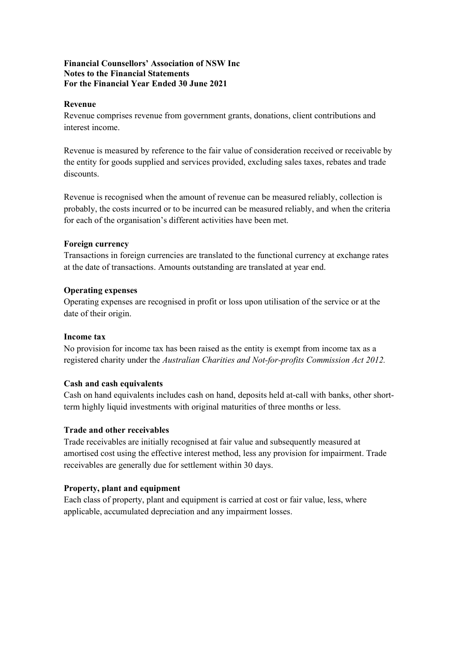#### Revenue

Revenue comprises revenue from government grants, donations, client contributions and interest income.

Revenue is measured by reference to the fair value of consideration received or receivable by the entity for goods supplied and services provided, excluding sales taxes, rebates and trade discounts.

Revenue is recognised when the amount of revenue can be measured reliably, collection is probably, the costs incurred or to be incurred can be measured reliably, and when the criteria for each of the organisation's different activities have been met.

#### Foreign currency

Transactions in foreign currencies are translated to the functional currency at exchange rates at the date of transactions. Amounts outstanding are translated at year end.

#### Operating expenses

Operating expenses are recognised in profit or loss upon utilisation of the service or at the date of their origin.

#### Income tax

No provision for income tax has been raised as the entity is exempt from income tax as a registered charity under the Australian Charities and Not-for-profits Commission Act 2012.

#### Cash and cash equivalents

Cash on hand equivalents includes cash on hand, deposits held at-call with banks, other shortterm highly liquid investments with original maturities of three months or less.

#### Trade and other receivables

Trade receivables are initially recognised at fair value and subsequently measured at amortised cost using the effective interest method, less any provision for impairment. Trade receivables are generally due for settlement within 30 days.

#### Property, plant and equipment

Each class of property, plant and equipment is carried at cost or fair value, less, where applicable, accumulated depreciation and any impairment losses.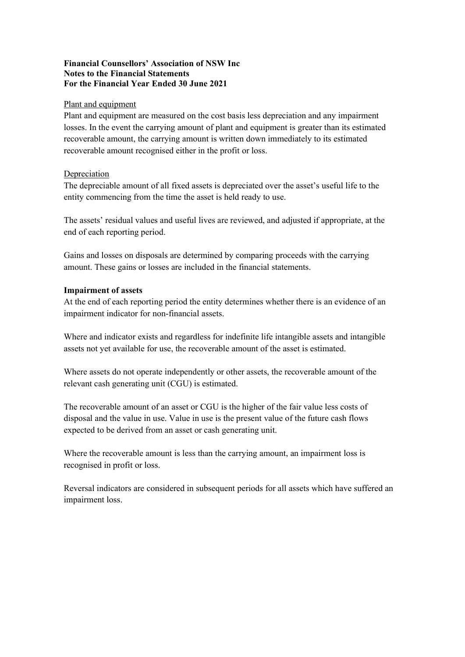#### Plant and equipment

Plant and equipment are measured on the cost basis less depreciation and any impairment losses. In the event the carrying amount of plant and equipment is greater than its estimated recoverable amount, the carrying amount is written down immediately to its estimated recoverable amount recognised either in the profit or loss.

#### Depreciation

The depreciable amount of all fixed assets is depreciated over the asset's useful life to the entity commencing from the time the asset is held ready to use.

The assets' residual values and useful lives are reviewed, and adjusted if appropriate, at the end of each reporting period.

Gains and losses on disposals are determined by comparing proceeds with the carrying amount. These gains or losses are included in the financial statements.

#### Impairment of assets

At the end of each reporting period the entity determines whether there is an evidence of an impairment indicator for non-financial assets.

Where and indicator exists and regardless for indefinite life intangible assets and intangible assets not yet available for use, the recoverable amount of the asset is estimated.

Where assets do not operate independently or other assets, the recoverable amount of the relevant cash generating unit (CGU) is estimated.

The recoverable amount of an asset or CGU is the higher of the fair value less costs of disposal and the value in use. Value in use is the present value of the future cash flows expected to be derived from an asset or cash generating unit.

Where the recoverable amount is less than the carrying amount, an impairment loss is recognised in profit or loss.

Reversal indicators are considered in subsequent periods for all assets which have suffered an impairment loss.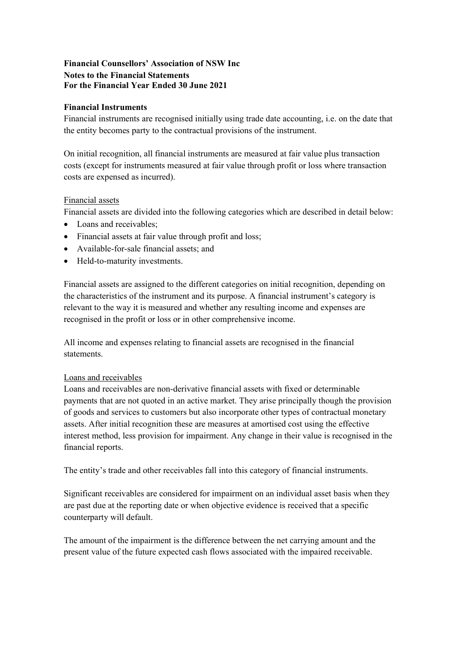# Financial Instruments

Financial instruments are recognised initially using trade date accounting, i.e. on the date that the entity becomes party to the contractual provisions of the instrument.

On initial recognition, all financial instruments are measured at fair value plus transaction costs (except for instruments measured at fair value through profit or loss where transaction costs are expensed as incurred).

# Financial assets

Financial assets are divided into the following categories which are described in detail below:

- Loans and receivables;
- Financial assets at fair value through profit and loss;
- Available-for-sale financial assets; and
- Held-to-maturity investments.

Financial assets are assigned to the different categories on initial recognition, depending on the characteristics of the instrument and its purpose. A financial instrument's category is relevant to the way it is measured and whether any resulting income and expenses are recognised in the profit or loss or in other comprehensive income.

All income and expenses relating to financial assets are recognised in the financial statements.

#### Loans and receivables

Loans and receivables are non-derivative financial assets with fixed or determinable payments that are not quoted in an active market. They arise principally though the provision of goods and services to customers but also incorporate other types of contractual monetary assets. After initial recognition these are measures at amortised cost using the effective interest method, less provision for impairment. Any change in their value is recognised in the financial reports.

The entity's trade and other receivables fall into this category of financial instruments.

Significant receivables are considered for impairment on an individual asset basis when they are past due at the reporting date or when objective evidence is received that a specific counterparty will default.

The amount of the impairment is the difference between the net carrying amount and the present value of the future expected cash flows associated with the impaired receivable.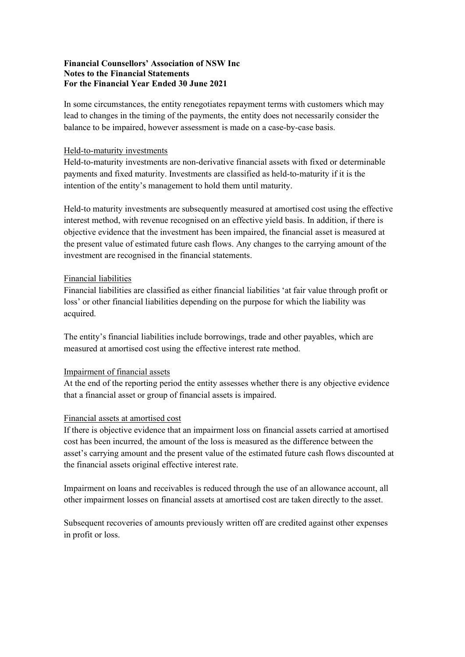In some circumstances, the entity renegotiates repayment terms with customers which may lead to changes in the timing of the payments, the entity does not necessarily consider the balance to be impaired, however assessment is made on a case-by-case basis.

#### Held-to-maturity investments

Held-to-maturity investments are non-derivative financial assets with fixed or determinable payments and fixed maturity. Investments are classified as held-to-maturity if it is the intention of the entity's management to hold them until maturity.

Held-to maturity investments are subsequently measured at amortised cost using the effective interest method, with revenue recognised on an effective yield basis. In addition, if there is objective evidence that the investment has been impaired, the financial asset is measured at the present value of estimated future cash flows. Any changes to the carrying amount of the investment are recognised in the financial statements.

#### Financial liabilities

Financial liabilities are classified as either financial liabilities 'at fair value through profit or loss' or other financial liabilities depending on the purpose for which the liability was acquired.

The entity's financial liabilities include borrowings, trade and other payables, which are measured at amortised cost using the effective interest rate method.

#### Impairment of financial assets

At the end of the reporting period the entity assesses whether there is any objective evidence that a financial asset or group of financial assets is impaired.

#### Financial assets at amortised cost

If there is objective evidence that an impairment loss on financial assets carried at amortised cost has been incurred, the amount of the loss is measured as the difference between the asset's carrying amount and the present value of the estimated future cash flows discounted at the financial assets original effective interest rate.

Impairment on loans and receivables is reduced through the use of an allowance account, all other impairment losses on financial assets at amortised cost are taken directly to the asset.

Subsequent recoveries of amounts previously written off are credited against other expenses in profit or loss.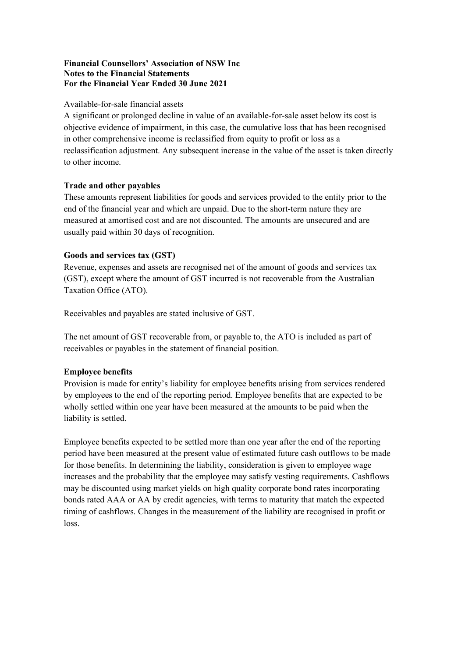#### Available-for-sale financial assets

A significant or prolonged decline in value of an available-for-sale asset below its cost is objective evidence of impairment, in this case, the cumulative loss that has been recognised in other comprehensive income is reclassified from equity to profit or loss as a reclassification adjustment. Any subsequent increase in the value of the asset is taken directly to other income.

#### Trade and other payables

These amounts represent liabilities for goods and services provided to the entity prior to the end of the financial year and which are unpaid. Due to the short-term nature they are measured at amortised cost and are not discounted. The amounts are unsecured and are usually paid within 30 days of recognition.

#### Goods and services tax (GST)

Revenue, expenses and assets are recognised net of the amount of goods and services tax (GST), except where the amount of GST incurred is not recoverable from the Australian Taxation Office (ATO).

Receivables and payables are stated inclusive of GST.

The net amount of GST recoverable from, or payable to, the ATO is included as part of receivables or payables in the statement of financial position.

#### Employee benefits

Provision is made for entity's liability for employee benefits arising from services rendered by employees to the end of the reporting period. Employee benefits that are expected to be wholly settled within one year have been measured at the amounts to be paid when the liability is settled.

Employee benefits expected to be settled more than one year after the end of the reporting period have been measured at the present value of estimated future cash outflows to be made for those benefits. In determining the liability, consideration is given to employee wage increases and the probability that the employee may satisfy vesting requirements. Cashflows may be discounted using market yields on high quality corporate bond rates incorporating bonds rated AAA or AA by credit agencies, with terms to maturity that match the expected timing of cashflows. Changes in the measurement of the liability are recognised in profit or loss.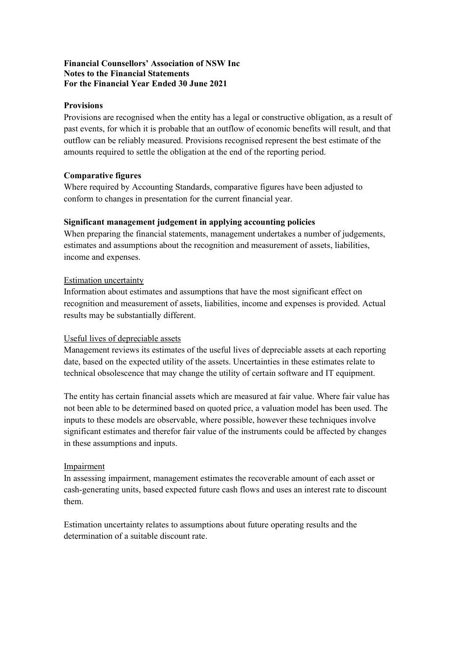### **Provisions**

Provisions are recognised when the entity has a legal or constructive obligation, as a result of past events, for which it is probable that an outflow of economic benefits will result, and that outflow can be reliably measured. Provisions recognised represent the best estimate of the amounts required to settle the obligation at the end of the reporting period.

# Comparative figures

Where required by Accounting Standards, comparative figures have been adjusted to conform to changes in presentation for the current financial year.

# Significant management judgement in applying accounting policies

When preparing the financial statements, management undertakes a number of judgements, estimates and assumptions about the recognition and measurement of assets, liabilities, income and expenses.

# Estimation uncertainty

Information about estimates and assumptions that have the most significant effect on recognition and measurement of assets, liabilities, income and expenses is provided. Actual results may be substantially different.

# Useful lives of depreciable assets

Management reviews its estimates of the useful lives of depreciable assets at each reporting date, based on the expected utility of the assets. Uncertainties in these estimates relate to technical obsolescence that may change the utility of certain software and IT equipment.

The entity has certain financial assets which are measured at fair value. Where fair value has not been able to be determined based on quoted price, a valuation model has been used. The inputs to these models are observable, where possible, however these techniques involve significant estimates and therefor fair value of the instruments could be affected by changes in these assumptions and inputs.

#### Impairment

In assessing impairment, management estimates the recoverable amount of each asset or cash-generating units, based expected future cash flows and uses an interest rate to discount them.

Estimation uncertainty relates to assumptions about future operating results and the determination of a suitable discount rate.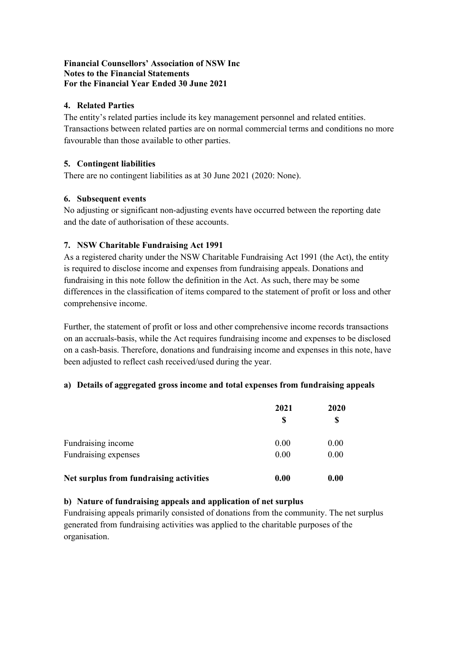#### 4. Related Parties

The entity's related parties include its key management personnel and related entities. Transactions between related parties are on normal commercial terms and conditions no more favourable than those available to other parties.

# 5. Contingent liabilities

There are no contingent liabilities as at 30 June 2021 (2020: None).

# 6. Subsequent events

No adjusting or significant non-adjusting events have occurred between the reporting date and the date of authorisation of these accounts.

# 7. NSW Charitable Fundraising Act 1991

As a registered charity under the NSW Charitable Fundraising Act 1991 (the Act), the entity is required to disclose income and expenses from fundraising appeals. Donations and fundraising in this note follow the definition in the Act. As such, there may be some differences in the classification of items compared to the statement of profit or loss and other comprehensive income.

Further, the statement of profit or loss and other comprehensive income records transactions on an accruals-basis, while the Act requires fundraising income and expenses to be disclosed on a cash-basis. Therefore, donations and fundraising income and expenses in this note, have been adjusted to reflect cash received/used during the year.

#### a) Details of aggregated gross income and total expenses from fundraising appeals

|                                         | 2021 | 2020 |  |
|-----------------------------------------|------|------|--|
|                                         | S    | S    |  |
| Fundraising income                      | 0.00 | 0.00 |  |
| Fundraising expenses                    | 0.00 | 0.00 |  |
| Net surplus from fundraising activities | 0.00 | 0.00 |  |

# b) Nature of fundraising appeals and application of net surplus

Fundraising appeals primarily consisted of donations from the community. The net surplus generated from fundraising activities was applied to the charitable purposes of the organisation.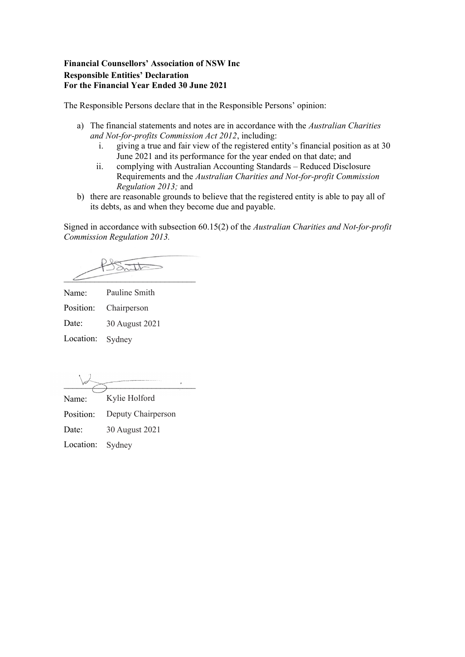#### Financial Counsellors' Association of NSW Inc Responsible Entities' Declaration For the Financial Year Ended 30 June 2021

The Responsible Persons declare that in the Responsible Persons' opinion:

- a) The financial statements and notes are in accordance with the Australian Charities and Not-for-profits Commission Act 2012, including:
	- i. giving a true and fair view of the registered entity's financial position as at 30 June 2021 and its performance for the year ended on that date; and
	- ii. complying with Australian Accounting Standards Reduced Disclosure Requirements and the Australian Charities and Not-for-profit Commission Regulation 2013; and
- b) there are reasonable grounds to believe that the registered entity is able to pay all of its debts, as and when they become due and payable.

Signed in accordance with subsection 60.15(2) of the Australian Charities and Not-for-profit Commission Regulation 2013.

 $\angle$ 

Name: Pauline Smith

Position: Chairperson

Date: 30 August 2021

Location: Sydney

 $\overbrace{\phantom{\qquad \qquad \qquad }}$ 

Name: Position: Kylie Holford Deputy Chairperson

Date: 30 August 2021

Location: Sydney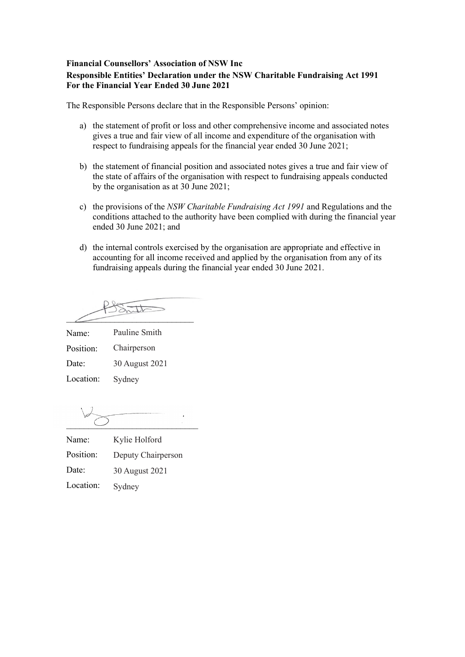#### Financial Counsellors' Association of NSW Inc Responsible Entities' Declaration under the NSW Charitable Fundraising Act 1991 For the Financial Year Ended 30 June 2021

The Responsible Persons declare that in the Responsible Persons' opinion:

- a) the statement of profit or loss and other comprehensive income and associated notes gives a true and fair view of all income and expenditure of the organisation with respect to fundraising appeals for the financial year ended 30 June 2021;
- b) the statement of financial position and associated notes gives a true and fair view of the state of affairs of the organisation with respect to fundraising appeals conducted by the organisation as at 30 June 2021;
- c) the provisions of the NSW Charitable Fundraising Act 1991 and Regulations and the conditions attached to the authority have been complied with during the financial year ended 30 June 2021; and
- d) the internal controls exercised by the organisation are appropriate and effective in accounting for all income received and applied by the organisation from any of its fundraising appeals during the financial year ended 30 June 2021.

Suit  $\angle$ 

Name: Position: Date: Location: Pauline Smith Chairperson 30 August 2021 Sydney

 $\mathbf{r}$  $\overline{\phantom{a}}$  ,  $\overline{\phantom{a}}$  ,  $\overline{\phantom{a}}$  ,  $\overline{\phantom{a}}$  ,  $\overline{\phantom{a}}$  ,  $\overline{\phantom{a}}$  ,  $\overline{\phantom{a}}$  ,  $\overline{\phantom{a}}$  ,  $\overline{\phantom{a}}$  ,  $\overline{\phantom{a}}$  ,  $\overline{\phantom{a}}$  ,  $\overline{\phantom{a}}$  ,  $\overline{\phantom{a}}$  ,  $\overline{\phantom{a}}$  ,  $\overline{\phantom{a}}$  ,  $\overline{\phantom{a}}$ 

| Name:     | Kylie Holford      |
|-----------|--------------------|
| Position: | Deputy Chairperson |
| Date:     | 30 August 2021     |
| Location: | Sydney             |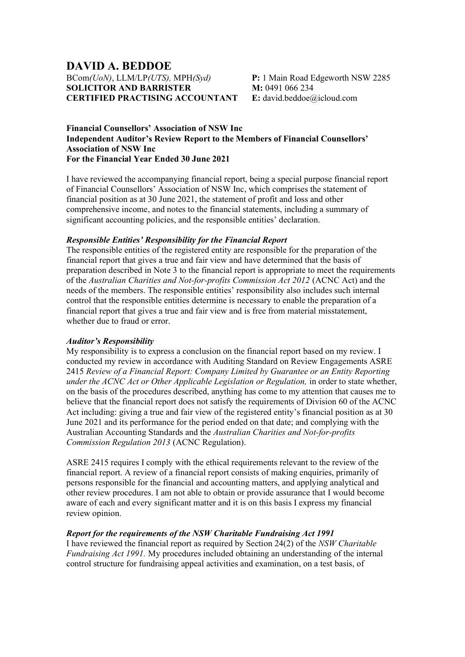# DAVID A. BEDDOE BCom(UoN), LLM/LP(UTS), MPH(Syd) SOLICITOR AND BARRISTER CERTIFIED PRACTISING ACCOUNTANT

P: 1 Main Road Edgeworth NSW 2285 M: 0491 066 234 E: david.beddoe@icloud.com

#### Financial Counsellors' Association of NSW Inc Independent Auditor's Review Report to the Members of Financial Counsellors' Association of NSW Inc For the Financial Year Ended 30 June 2021

I have reviewed the accompanying financial report, being a special purpose financial report of Financial Counsellors' Association of NSW Inc, which comprises the statement of financial position as at 30 June 2021, the statement of profit and loss and other comprehensive income, and notes to the financial statements, including a summary of significant accounting policies, and the responsible entities' declaration.

#### Responsible Entities' Responsibility for the Financial Report

The responsible entities of the registered entity are responsible for the preparation of the financial report that gives a true and fair view and have determined that the basis of preparation described in Note 3 to the financial report is appropriate to meet the requirements of the Australian Charities and Not-for-profits Commission Act 2012 (ACNC Act) and the needs of the members. The responsible entities' responsibility also includes such internal control that the responsible entities determine is necessary to enable the preparation of a financial report that gives a true and fair view and is free from material misstatement, whether due to fraud or error.

#### Auditor's Responsibility

My responsibility is to express a conclusion on the financial report based on my review. I conducted my review in accordance with Auditing Standard on Review Engagements ASRE 2415 Review of a Financial Report: Company Limited by Guarantee or an Entity Reporting under the  $ACNC$  Act or Other Applicable Legislation or Regulation, in order to state whether, on the basis of the procedures described, anything has come to my attention that causes me to believe that the financial report does not satisfy the requirements of Division 60 of the ACNC Act including: giving a true and fair view of the registered entity's financial position as at 30 June 2021 and its performance for the period ended on that date; and complying with the Australian Accounting Standards and the Australian Charities and Not-for-profits Commission Regulation 2013 (ACNC Regulation).

ASRE 2415 requires I comply with the ethical requirements relevant to the review of the financial report. A review of a financial report consists of making enquiries, primarily of persons responsible for the financial and accounting matters, and applying analytical and other review procedures. I am not able to obtain or provide assurance that I would become aware of each and every significant matter and it is on this basis I express my financial review opinion.

#### Report for the requirements of the NSW Charitable Fundraising Act 1991

I have reviewed the financial report as required by Section 24(2) of the NSW Charitable Fundraising Act 1991. My procedures included obtaining an understanding of the internal control structure for fundraising appeal activities and examination, on a test basis, of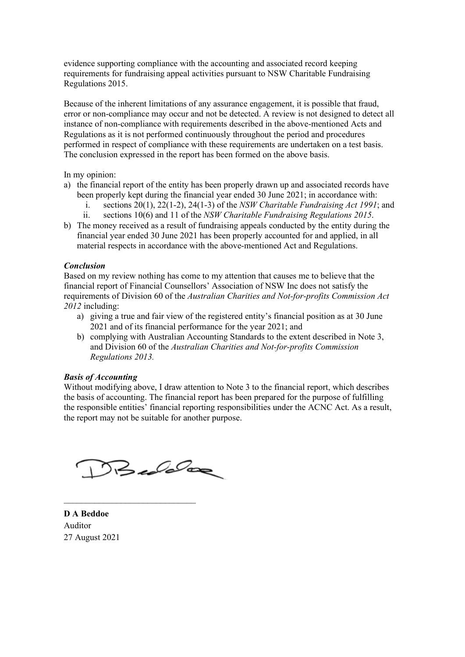evidence supporting compliance with the accounting and associated record keeping requirements for fundraising appeal activities pursuant to NSW Charitable Fundraising Regulations 2015.

Because of the inherent limitations of any assurance engagement, it is possible that fraud, error or non-compliance may occur and not be detected. A review is not designed to detect all instance of non-compliance with requirements described in the above-mentioned Acts and Regulations as it is not performed continuously throughout the period and procedures performed in respect of compliance with these requirements are undertaken on a test basis. The conclusion expressed in the report has been formed on the above basis.

In my opinion:

- a) the financial report of the entity has been properly drawn up and associated records have been properly kept during the financial year ended 30 June 2021; in accordance with:
	- i. sections  $20(1)$ ,  $22(1-2)$ ,  $24(1-3)$  of the NSW Charitable Fundraising Act 1991; and
	- ii. sections 10(6) and 11 of the NSW Charitable Fundraising Regulations 2015.
- b) The money received as a result of fundraising appeals conducted by the entity during the financial year ended 30 June 2021 has been properly accounted for and applied, in all material respects in accordance with the above-mentioned Act and Regulations.

#### Conclusion

Based on my review nothing has come to my attention that causes me to believe that the financial report of Financial Counsellors' Association of NSW Inc does not satisfy the requirements of Division 60 of the Australian Charities and Not-for-profits Commission Act  $2012$  including:

- a) giving a true and fair view of the registered entity's financial position as at 30 June 2021 and of its financial performance for the year 2021; and
- b) complying with Australian Accounting Standards to the extent described in Note 3, and Division 60 of the Australian Charities and Not-for-profits Commission Regulations 2013.

#### Basis of Accounting

Without modifying above, I draw attention to Note 3 to the financial report, which describes the basis of accounting. The financial report has been prepared for the purpose of fulfilling the responsible entities' financial reporting responsibilities under the ACNC Act. As a result, the report may not be suitable for another purpose.

Buddag

\_\_\_\_\_\_\_\_\_\_\_\_\_\_\_\_\_\_\_\_\_\_\_\_\_\_\_\_\_\_

D A Beddoe Auditor 27 August 2021